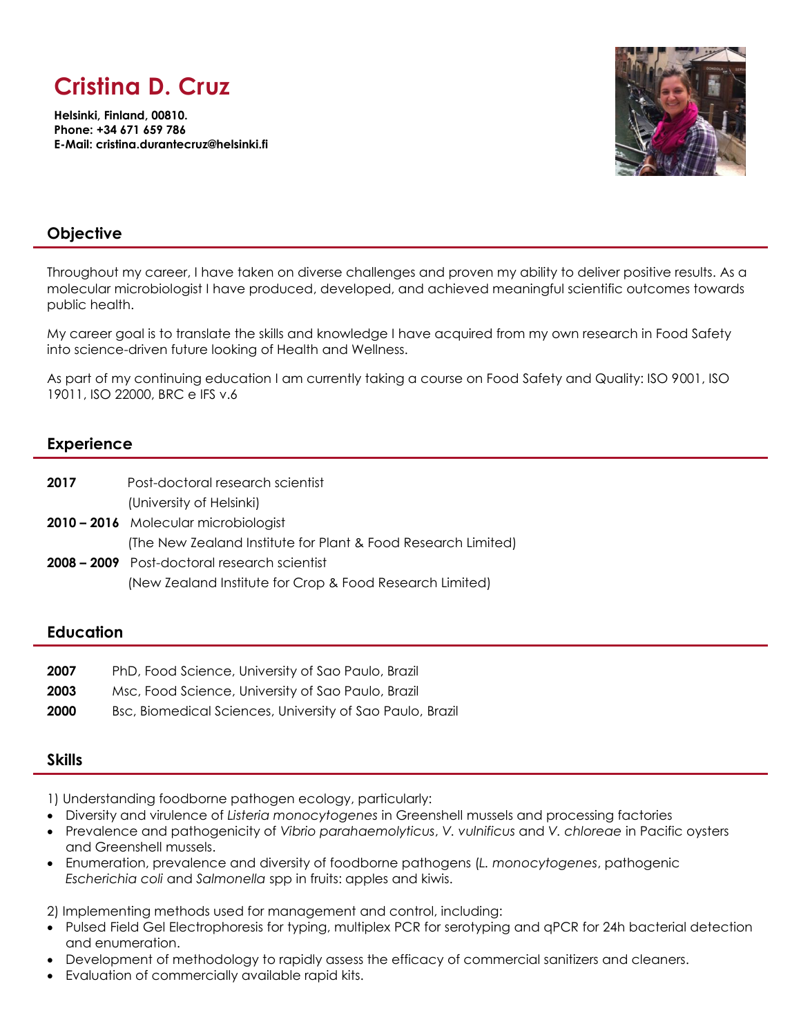# **Cristina D. Cruz**

**Helsinki, Finland, 00810. Phone: +34 671 659 786 E-Mail: cristina.durantecruz@helsinki.fi**



# **Objective**

Throughout my career, I have taken on diverse challenges and proven my ability to deliver positive results. As a molecular microbiologist I have produced, developed, and achieved meaningful scientific outcomes towards public health.

My career goal is to translate the skills and knowledge I have acquired from my own research in Food Safety into science-driven future looking of Health and Wellness.

As part of my continuing education I am currently taking a course on Food Safety and Quality: ISO 9001, ISO 19011, ISO 22000, BRC e IFS v.6

## **Experience**

| 2017 | Post-doctoral research scientist                              |
|------|---------------------------------------------------------------|
|      | (University of Helsinki)                                      |
|      | 2010 – 2016 Molecular microbiologist                          |
|      | (The New Zealand Institute for Plant & Food Research Limited) |
|      | <b>2008 – 2009</b> Post-doctoral research scientist           |
|      | (New Zealand Institute for Crop & Food Research Limited)      |

## **Education**

| 2007 | PhD, Food Science, University of Sao Paulo, Brazil        |
|------|-----------------------------------------------------------|
| 2003 | Msc, Food Science, University of Sao Paulo, Brazil        |
| 2000 | Bsc, Biomedical Sciences, University of Sao Paulo, Brazil |

## **Skills**

1) Understanding foodborne pathogen ecology, particularly:

- Diversity and virulence of *Listeria monocytogenes* in Greenshell mussels and processing factories
- Prevalence and pathogenicity of *Vibrio parahaemolyticus*, *V. vulnificus* and *V. chloreae* in Pacific oysters and Greenshell mussels.
- Enumeration, prevalence and diversity of foodborne pathogens (*L. monocytogenes*, pathogenic *Escherichia coli* and *Salmonella* spp in fruits: apples and kiwis.

2) Implementing methods used for management and control, including:

- Pulsed Field Gel Electrophoresis for typing, multiplex PCR for serotyping and qPCR for 24h bacterial detection and enumeration.
- Development of methodology to rapidly assess the efficacy of commercial sanitizers and cleaners.
- Evaluation of commercially available rapid kits.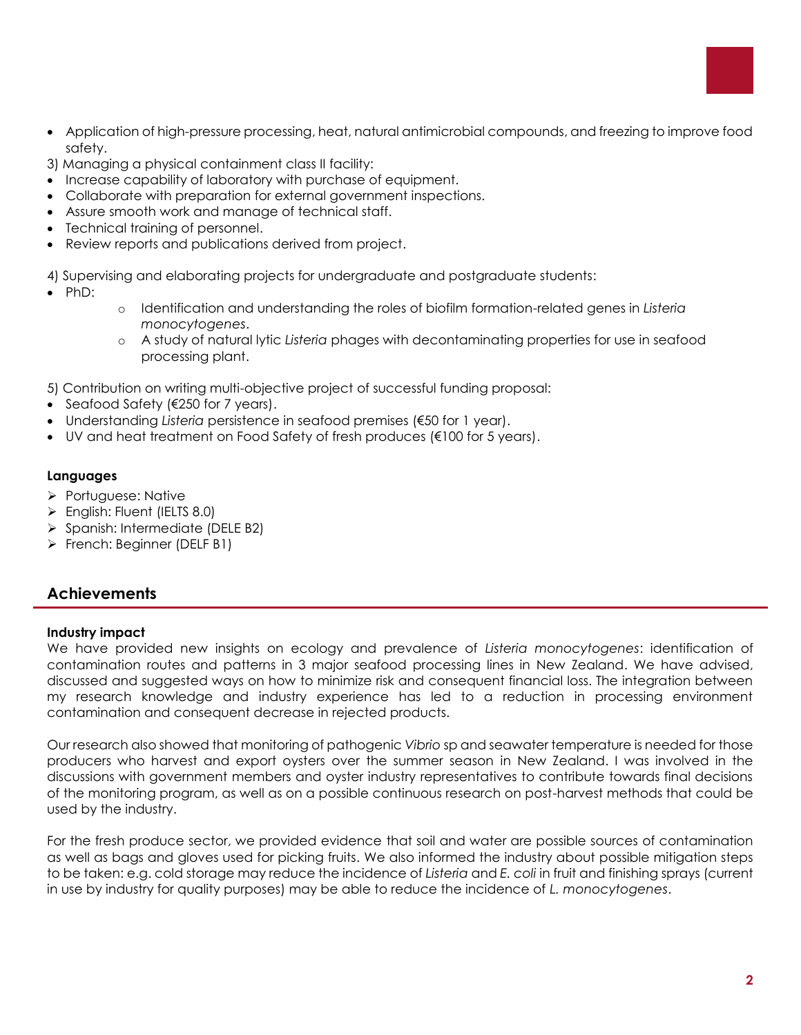

- Application of high-pressure processing, heat, natural antimicrobial compounds, and freezing to improve food safety.
- 3) Managing a physical containment class II facility:
- Increase capability of laboratory with purchase of equipment.
- Collaborate with preparation for external government inspections.
- Assure smooth work and manage of technical staff.
- Technical training of personnel.
- Review reports and publications derived from project.

4) Supervising and elaborating projects for undergraduate and postgraduate students:

- $\bullet$  PhD:
- o Identification and understanding the roles of biofilm formation-related genes in *Listeria monocytogenes*.
- o A study of natural lytic *Listeria* phages with decontaminating properties for use in seafood processing plant.

5) Contribution on writing multi-objective project of successful funding proposal:

- Seafood Safety (€250 for 7 years).
- Understanding *Listeria* persistence in seafood premises (€50 for 1 year).
- UV and heat treatment on Food Safety of fresh produces  $(\epsilon 100$  for 5 years).

#### **Languages**

- **>** Portuguese: Native
- English: Fluent (IELTS 8.0)
- Spanish: Intermediate (DELE B2)
- French: Beginner (DELF B1)

## **Achievements**

#### **Industry impact**

We have provided new insights on ecology and prevalence of *Listeria monocytogenes*: identification of contamination routes and patterns in 3 major seafood processing lines in New Zealand. We have advised, discussed and suggested ways on how to minimize risk and consequent financial loss. The integration between my research knowledge and industry experience has led to a reduction in processing environment contamination and consequent decrease in rejected products.

Our research also showed that monitoring of pathogenic *Vibrio* sp and seawater temperature is needed for those producers who harvest and export oysters over the summer season in New Zealand. I was involved in the discussions with government members and oyster industry representatives to contribute towards final decisions of the monitoring program, as well as on a possible continuous research on post-harvest methods that could be used by the industry.

For the fresh produce sector, we provided evidence that soil and water are possible sources of contamination as well as bags and gloves used for picking fruits. We also informed the industry about possible mitigation steps to be taken: e.g. cold storage may reduce the incidence of *Listeria* and *E. coli* in fruit and finishing sprays (current in use by industry for quality purposes) may be able to reduce the incidence of *L. monocytogenes*.